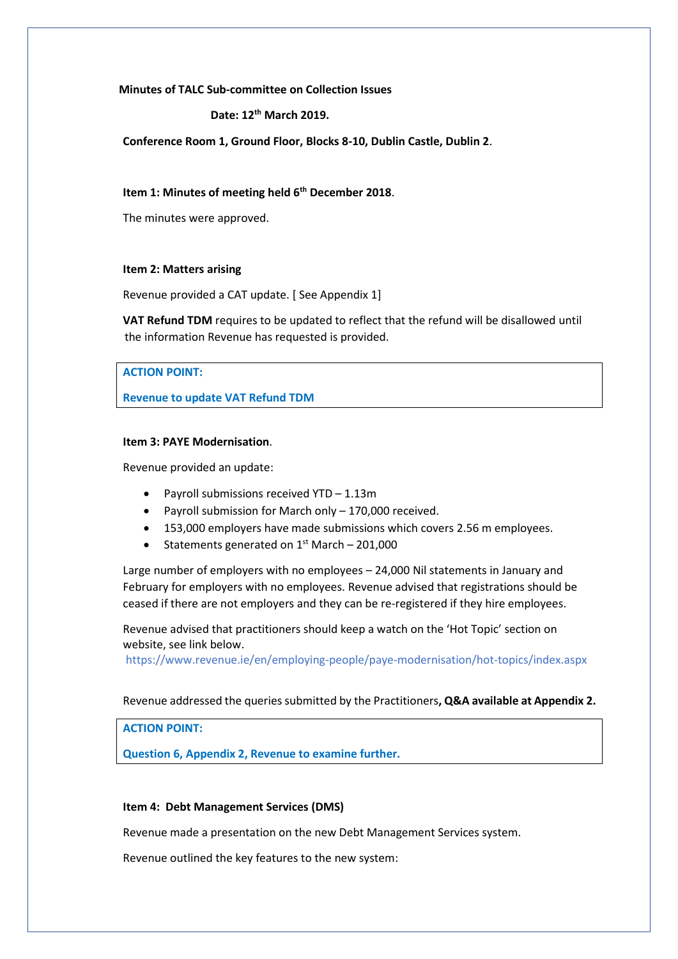**Minutes of TALC Sub-committee on Collection Issues**

#### **Date: 12th March 2019.**

**Conference Room 1, Ground Floor, Blocks 8-10, Dublin Castle, Dublin 2**.

#### **Item 1: Minutes of meeting held 6th December 2018**.

The minutes were approved.

#### **Item 2: Matters arising**

Revenue provided a CAT update. [ See Appendix 1]

**VAT Refund TDM** requires to be updated to reflect that the refund will be disallowed until the information Revenue has requested is provided.

# **ACTION POINT:**

**Revenue to update VAT Refund TDM**

### **Item 3: PAYE Modernisation**.

Revenue provided an update:

- Payroll submissions received YTD 1.13m
- Payroll submission for March only 170,000 received.
- 153,000 employers have made submissions which covers 2.56 m employees.
- Statements generated on  $1<sup>st</sup>$  March 201,000

Large number of employers with no employees – 24,000 Nil statements in January and February for employers with no employees. Revenue advised that registrations should be ceased if there are not employers and they can be re-registered if they hire employees.

Revenue advised that practitioners should keep a watch on the 'Hot Topic' section on website, see link below.

<https://www.revenue.ie/en/employing-people/paye-modernisation/hot-topics/index.aspx>

#### Revenue addressed the queries submitted by the Practitioners**, Q&A available at Appendix 2.**

**ACTION POINT:**

**Question 6, Appendix 2, Revenue to examine further.**

### **Item 4: Debt Management Services (DMS)**

Revenue made a presentation on the new Debt Management Services system.

Revenue outlined the key features to the new system: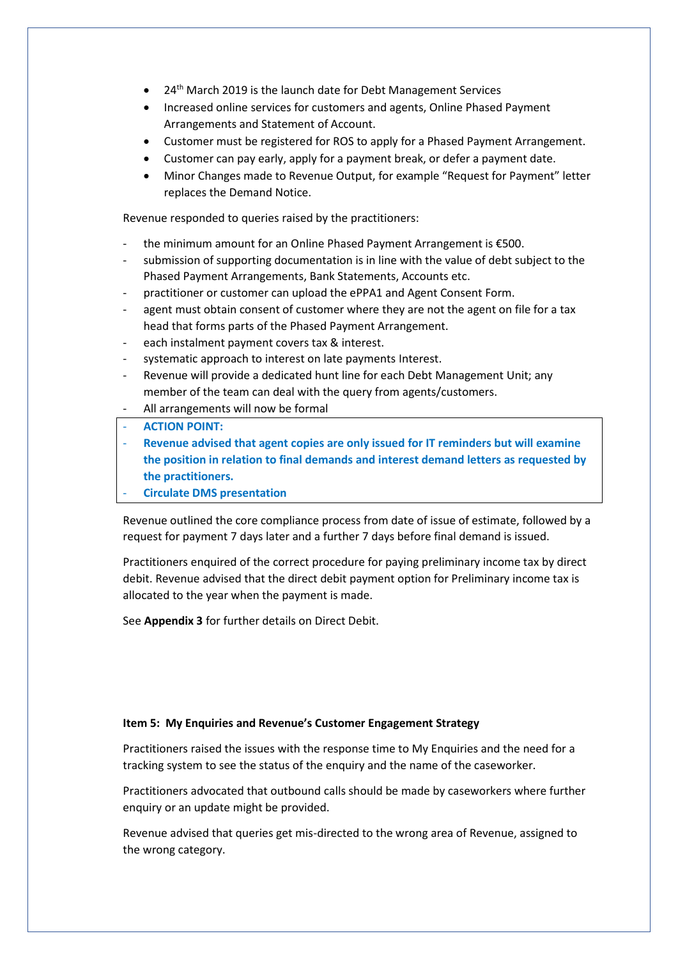- 24th March 2019 is the launch date for Debt Management Services
- Increased online services for customers and agents, Online Phased Payment Arrangements and Statement of Account.
- Customer must be registered for ROS to apply for a Phased Payment Arrangement.
- Customer can pay early, apply for a payment break, or defer a payment date.
- Minor Changes made to Revenue Output, for example "Request for Payment" letter replaces the Demand Notice.

Revenue responded to queries raised by the practitioners:

- the minimum amount for an Online Phased Payment Arrangement is €500.
- submission of supporting documentation is in line with the value of debt subject to the Phased Payment Arrangements, Bank Statements, Accounts etc.
- practitioner or customer can upload the ePPA1 and Agent Consent Form.
- agent must obtain consent of customer where they are not the agent on file for a tax head that forms parts of the Phased Payment Arrangement.
- each instalment payment covers tax & interest.
- systematic approach to interest on late payments Interest.
- Revenue will provide a dedicated hunt line for each Debt Management Unit; any member of the team can deal with the query from agents/customers.
- All arrangements will now be formal

### - **ACTION POINT:**

- **Revenue advised that agent copies are only issued for IT reminders but will examine the position in relation to final demands and interest demand letters as requested by the practitioners.**

### - **Circulate DMS presentation**

Revenue outlined the core compliance process from date of issue of estimate, followed by a request for payment 7 days later and a further 7 days before final demand is issued.

Practitioners enquired of the correct procedure for paying preliminary income tax by direct debit. Revenue advised that the direct debit payment option for Preliminary income tax is allocated to the year when the payment is made.

See **Appendix 3** for further details on Direct Debit.

### **Item 5: My Enquiries and Revenue's Customer Engagement Strategy**

Practitioners raised the issues with the response time to My Enquiries and the need for a tracking system to see the status of the enquiry and the name of the caseworker.

Practitioners advocated that outbound calls should be made by caseworkers where further enquiry or an update might be provided.

Revenue advised that queries get mis-directed to the wrong area of Revenue, assigned to the wrong category.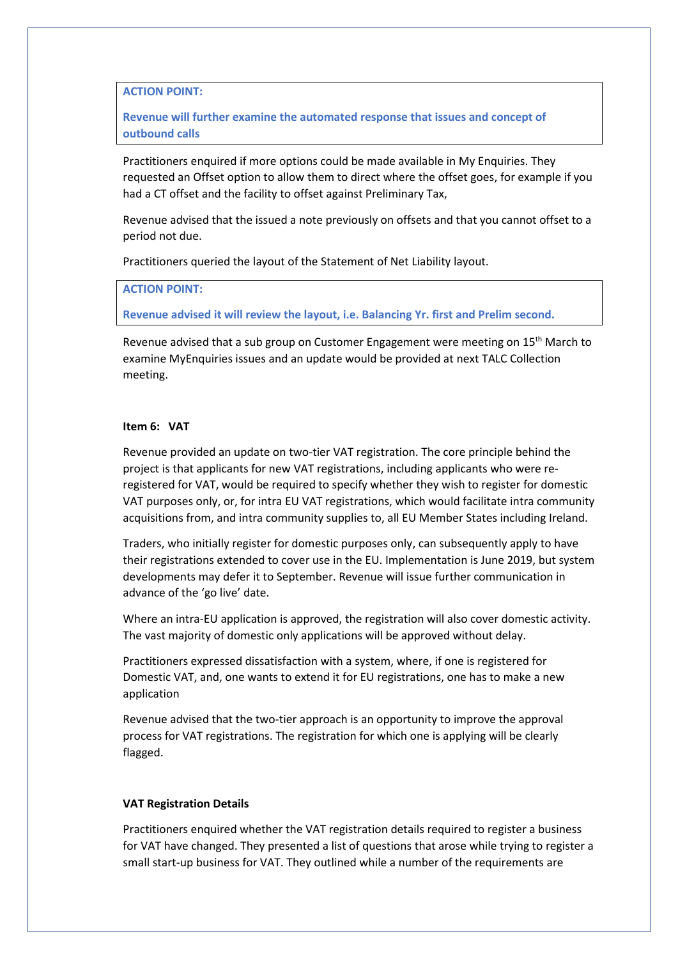**ACTION POINT:**

**Revenue will further examine the automated response that issues and concept of outbound calls** 

Practitioners enquired if more options could be made available in My Enquiries. They requested an Offset option to allow them to direct where the offset goes, for example if you had a CT offset and the facility to offset against Preliminary Tax,

Revenue advised that the issued a note previously on offsets and that you cannot offset to a period not due.

Practitioners queried the layout of the Statement of Net Liability layout.

**ACTION POINT:**

**Revenue advised it will review the layout, i.e. Balancing Yr. first and Prelim second.**

Revenue advised that a sub group on Customer Engagement were meeting on 15<sup>th</sup> March to examine MyEnquiries issues and an update would be provided at next TALC Collection meeting.

### **Item 6: VAT**

Revenue provided an update on two-tier VAT registration. The core principle behind the project is that applicants for new VAT registrations, including applicants who were reregistered for VAT, would be required to specify whether they wish to register for domestic VAT purposes only, or, for intra EU VAT registrations, which would facilitate intra community acquisitions from, and intra community supplies to, all EU Member States including Ireland.

Traders, who initially register for domestic purposes only, can subsequently apply to have their registrations extended to cover use in the EU. Implementation is June 2019, but system developments may defer it to September. Revenue will issue further communication in advance of the 'go live' date.

Where an intra-EU application is approved, the registration will also cover domestic activity. The vast majority of domestic only applications will be approved without delay.

Practitioners expressed dissatisfaction with a system, where, if one is registered for Domestic VAT, and, one wants to extend it for EU registrations, one has to make a new application

Revenue advised that the two-tier approach is an opportunity to improve the approval process for VAT registrations. The registration for which one is applying will be clearly flagged.

### **VAT Registration Details**

Practitioners enquired whether the VAT registration details required to register a business for VAT have changed. They presented a list of questions that arose while trying to register a small start-up business for VAT. They outlined while a number of the requirements are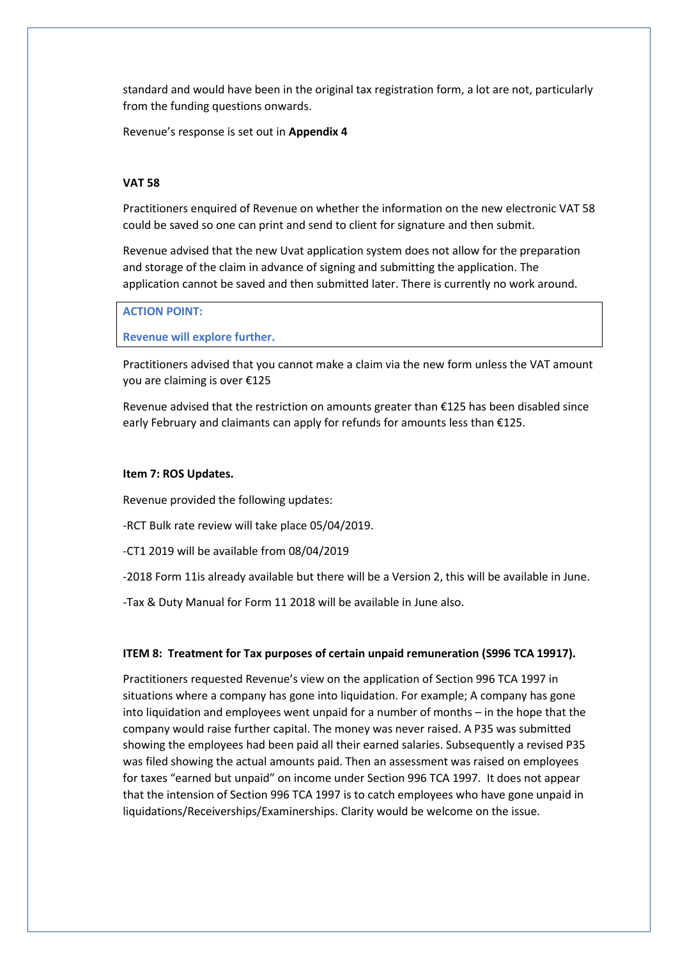standard and would have been in the original tax registration form, a lot are not, particularly from the funding questions onwards.

Revenue's response is set out in **Appendix 4**

# **VAT 58**

Practitioners enquired of Revenue on whether the information on the new electronic VAT 58 could be saved so one can print and send to client for signature and then submit.

Revenue advised that the new Uvat application system does not allow for the preparation and storage of the claim in advance of signing and submitting the application. The application cannot be saved and then submitted later. There is currently no work around.

#### **ACTION POINT:**

**Revenue will explore further.**

Practitioners advised that you cannot make a claim via the new form unless the VAT amount you are claiming is over €125

Revenue advised that the restriction on amounts greater than €125 has been disabled since early February and claimants can apply for refunds for amounts less than €125.

#### **Item 7: ROS Updates.**

Revenue provided the following updates:

-RCT Bulk rate review will take place 05/04/2019.

-CT1 2019 will be available from 08/04/2019

-2018 Form 11is already available but there will be a Version 2, this will be available in June.

-Tax & Duty Manual for Form 11 2018 will be available in June also.

#### **ITEM 8: Treatment for Tax purposes of certain unpaid remuneration (S996 TCA 19917).**

Practitioners requested Revenue's view on the application of Section 996 TCA 1997 in situations where a company has gone into liquidation. For example; A company has gone into liquidation and employees went unpaid for a number of months – in the hope that the company would raise further capital. The money was never raised. A P35 was submitted showing the employees had been paid all their earned salaries. Subsequently a revised P35 was filed showing the actual amounts paid. Then an assessment was raised on employees for taxes "earned but unpaid" on income under Section 996 TCA 1997. It does not appear that the intension of Section 996 TCA 1997 is to catch employees who have gone unpaid in liquidations/Receiverships/Examinerships. Clarity would be welcome on the issue.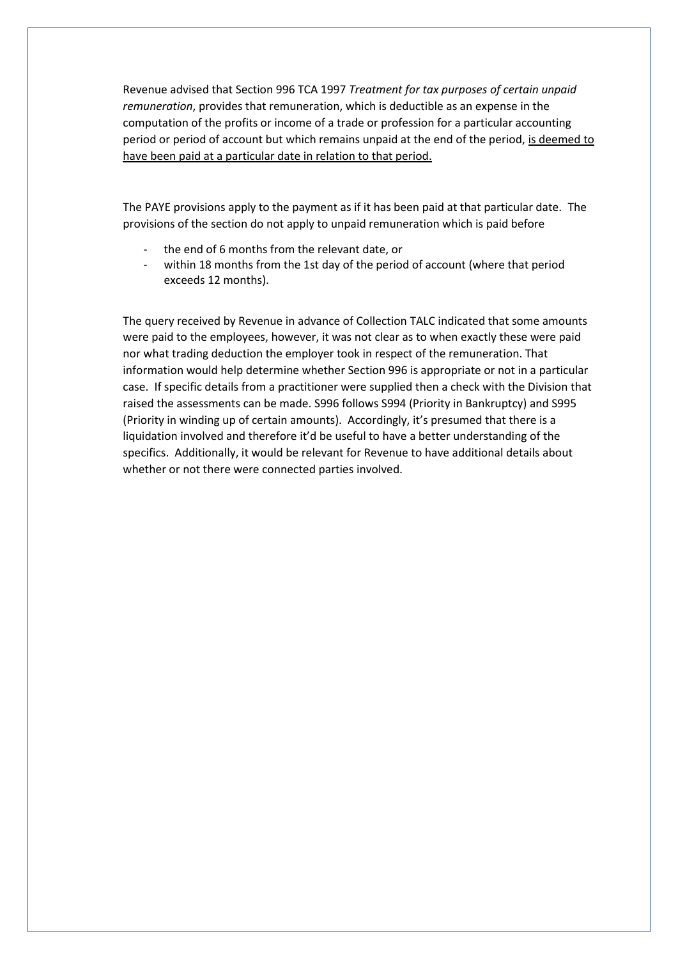Revenue advised that Section 996 TCA 1997 *Treatment for tax purposes of certain unpaid remuneration*, provides that remuneration, which is deductible as an expense in the computation of the profits or income of a trade or profession for a particular accounting period or period of account but which remains unpaid at the end of the period, is deemed to have been paid at a particular date in relation to that period.

The PAYE provisions apply to the payment as if it has been paid at that particular date. The provisions of the section do not apply to unpaid remuneration which is paid before

- the end of 6 months from the relevant date, or
- within 18 months from the 1st day of the period of account (where that period exceeds 12 months).

The query received by Revenue in advance of Collection TALC indicated that some amounts were paid to the employees, however, it was not clear as to when exactly these were paid nor what trading deduction the employer took in respect of the remuneration. That information would help determine whether Section 996 is appropriate or not in a particular case. If specific details from a practitioner were supplied then a check with the Division that raised the assessments can be made. S996 follows S994 (Priority in Bankruptcy) and S995 (Priority in winding up of certain amounts). Accordingly, it's presumed that there is a liquidation involved and therefore it'd be useful to have a better understanding of the specifics. Additionally, it would be relevant for Revenue to have additional details about whether or not there were connected parties involved.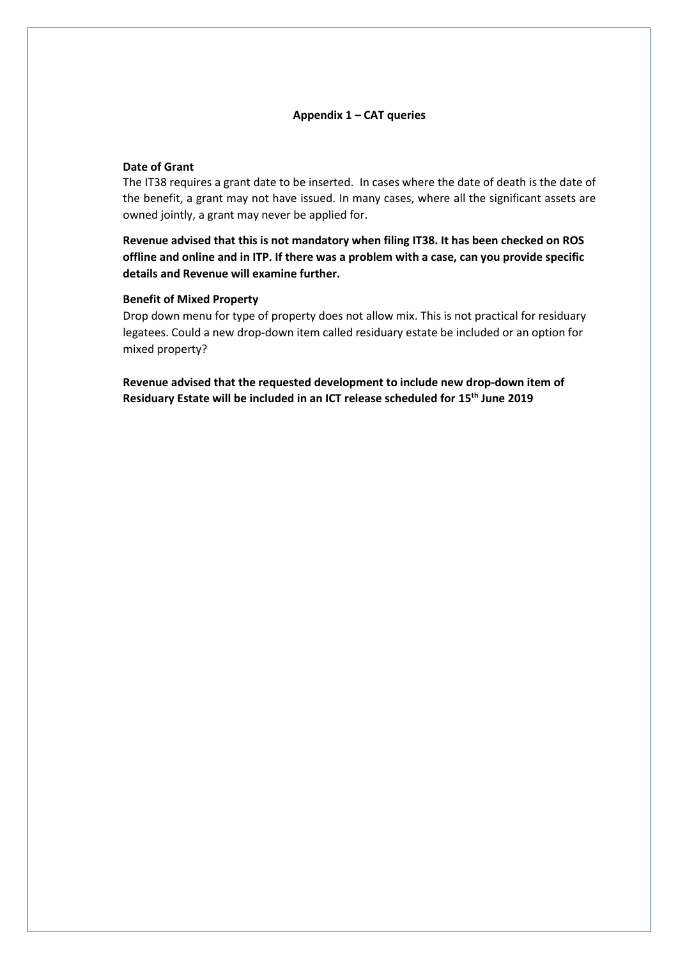### **Appendix 1 – CAT queries**

#### **Date of Grant**

The IT38 requires a grant date to be inserted. In cases where the date of death is the date of the benefit, a grant may not have issued. In many cases, where all the significant assets are owned jointly, a grant may never be applied for.

**Revenue advised that this is not mandatory when filing IT38. It has been checked on ROS offline and online and in ITP. If there was a problem with a case, can you provide specific details and Revenue will examine further.**

# **Benefit of Mixed Property**

Drop down menu for type of property does not allow mix. This is not practical for residuary legatees. Could a new drop-down item called residuary estate be included or an option for mixed property?

**Revenue advised that the requested development to include new drop-down item of Residuary Estate will be included in an ICT release scheduled for 15th June 2019**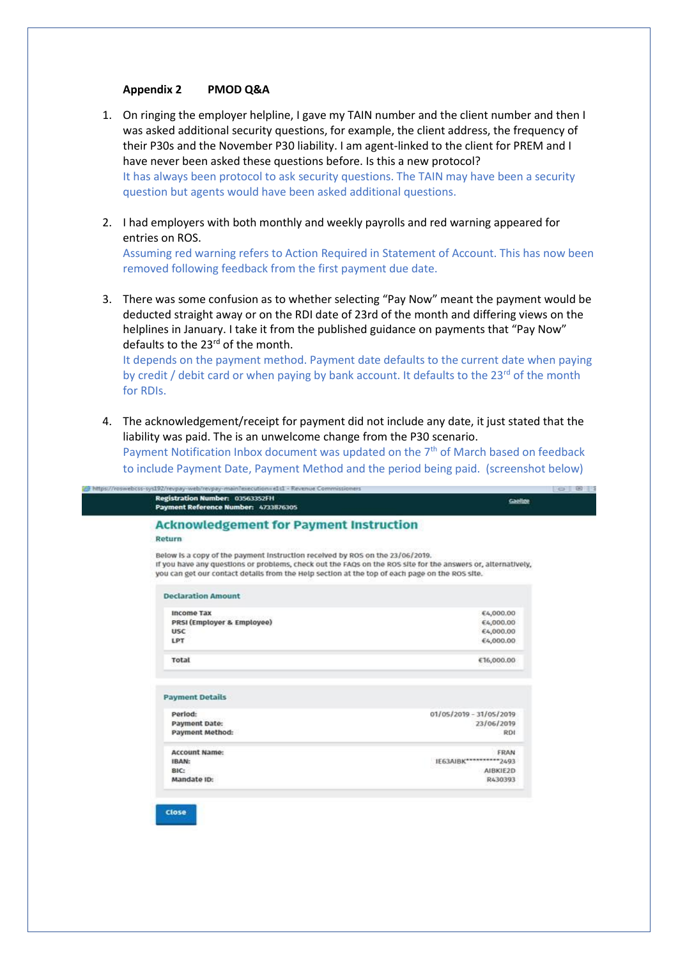#### **Appendix 2 PMOD Q&A**

- 1. On ringing the employer helpline, I gave my TAIN number and the client number and then I was asked additional security questions, for example, the client address, the frequency of their P30s and the November P30 liability. I am agent-linked to the client for PREM and I have never been asked these questions before. Is this a new protocol? It has always been protocol to ask security questions. The TAIN may have been a security question but agents would have been asked additional questions.
- 2. I had employers with both monthly and weekly payrolls and red warning appeared for entries on ROS.

Assuming red warning refers to Action Required in Statement of Account. This has now been removed following feedback from the first payment due date.

3. There was some confusion as to whether selecting "Pay Now" meant the payment would be deducted straight away or on the RDI date of 23rd of the month and differing views on the helplines in January. I take it from the published guidance on payments that "Pay Now" defaults to the 23<sup>rd</sup> of the month.

It depends on the payment method. Payment date defaults to the current date when paying by credit / debit card or when paying by bank account. It defaults to the 23<sup>rd</sup> of the month for RDIs.

4. The acknowledgement/receipt for payment did not include any date, it just stated that the liability was paid. The is an unwelcome change from the P30 scenario. Payment Notification Inbox document was updated on the 7<sup>th</sup> of March based on feedback

to include Payment Date, Payment Method and the period being paid. (screenshot below)

| Registration Number: 03563352FH<br>Payment Reference Number: 4733876305                                                                                                                                                                                                                         | Gaeilge                 |
|-------------------------------------------------------------------------------------------------------------------------------------------------------------------------------------------------------------------------------------------------------------------------------------------------|-------------------------|
| <b>Acknowledgement for Payment Instruction</b>                                                                                                                                                                                                                                                  |                         |
| Return                                                                                                                                                                                                                                                                                          |                         |
| Below is a copy of the payment instruction received by ROS on the 23/06/2019.<br>If you have any questions or problems, check out the FAQs on the ROS site for the answers or, alternatively,<br>you can get our contact details from the Help section at the top of each page on the ROS site. |                         |
| <b>Declaration Amount</b>                                                                                                                                                                                                                                                                       |                         |
| <b>Income Tax</b>                                                                                                                                                                                                                                                                               | €4,000.00               |
| PRSI (Employer & Employee)                                                                                                                                                                                                                                                                      | €4,000.00               |
| <b>USC</b>                                                                                                                                                                                                                                                                                      | €4,000.00               |
| LPT                                                                                                                                                                                                                                                                                             | €4,000.00               |
| <b>Total</b>                                                                                                                                                                                                                                                                                    | €16,000.00              |
| <b>Payment Details</b>                                                                                                                                                                                                                                                                          |                         |
| Period:                                                                                                                                                                                                                                                                                         | 01/05/2019 - 31/05/2019 |
| Payment Date:                                                                                                                                                                                                                                                                                   | 23/06/2019              |
| Payment Method:                                                                                                                                                                                                                                                                                 | <b>RDI</b>              |
|                                                                                                                                                                                                                                                                                                 | FRAN                    |
| <b>Account Name:</b>                                                                                                                                                                                                                                                                            |                         |
| IBAN:                                                                                                                                                                                                                                                                                           | IE63AIBK***********2493 |
| BIC:                                                                                                                                                                                                                                                                                            | AIBKIE2D                |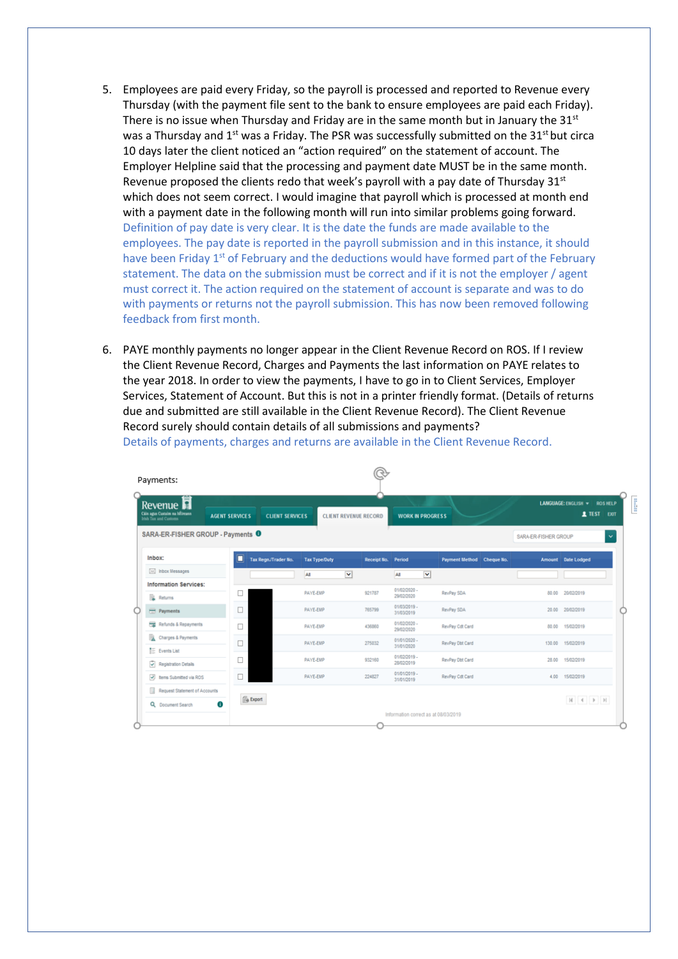- 5. Employees are paid every Friday, so the payroll is processed and reported to Revenue every Thursday (with the payment file sent to the bank to ensure employees are paid each Friday). There is no issue when Thursday and Friday are in the same month but in January the  $31^{st}$ was a Thursday and  $1^{st}$  was a Friday. The PSR was successfully submitted on the 31<sup>st</sup> but circa 10 days later the client noticed an "action required" on the statement of account. The Employer Helpline said that the processing and payment date MUST be in the same month. Revenue proposed the clients redo that week's payroll with a pay date of Thursday  $31<sup>st</sup>$ which does not seem correct. I would imagine that payroll which is processed at month end with a payment date in the following month will run into similar problems going forward. Definition of pay date is very clear. It is the date the funds are made available to the employees. The pay date is reported in the payroll submission and in this instance, it should have been Friday  $1<sup>st</sup>$  of February and the deductions would have formed part of the February statement. The data on the submission must be correct and if it is not the employer / agent must correct it. The action required on the statement of account is separate and was to do with payments or returns not the payroll submission. This has now been removed following feedback from first month.
- 6. PAYE monthly payments no longer appear in the Client Revenue Record on ROS. If I review the Client Revenue Record, Charges and Payments the last information on PAYE relates to the year 2018. In order to view the payments, I have to go in to Client Services, Employer Services, Statement of Account. But this is not in a printer friendly format. (Details of returns due and submitted are still available in the Client Revenue Record). The Client Revenue Record surely should contain details of all submissions and payments? Details of payments, charges and returns are available in the Client Revenue Record.

| SARA-ER-FISHER GROUP - Payments 0<br>Tax Regn./Trader No. |                      |                      |                            |                           |                                      |                                                                  |
|-----------------------------------------------------------|----------------------|----------------------|----------------------------|---------------------------|--------------------------------------|------------------------------------------------------------------|
|                                                           |                      |                      |                            |                           | SARA-ER-FISHER GROUP                 | $\checkmark$                                                     |
|                                                           | <b>Tax Type/Duty</b> | Receipt No. Period   |                            | Payment Method Cheque No. |                                      | Amount Date Lodged                                               |
|                                                           | All                  | $\blacktriangledown$ | All                        | $\blacktriangledown$      |                                      |                                                                  |
|                                                           | PAYE-EMP             | 921787               | 01/02/2020 -<br>29/02/2020 | RevPay SDA                |                                      | 20/02/2019                                                       |
|                                                           | PAYE-EMP             | 765799               | 01/03/2019 -<br>31/03/2019 | RevPay SDA                |                                      | 20.00 20/02/2019                                                 |
|                                                           | PAYE-EMP             | 436880               | 01/02/2020 -               | RevPay Cot Card           |                                      | 80.00 15/02/2019                                                 |
|                                                           | PAYE-EMP             | 275032               | 01/01/2020 -               | RevPay Dbt Card           |                                      | 130.00 15/02/2019                                                |
|                                                           | PAYE-EMP             | 932160               | 01/02/2019 -<br>28/02/2019 | RevPay Dbt Card           |                                      | 15/02/2019                                                       |
|                                                           | PAYE-EMP             | 224827               | 01/01/2019 -<br>31/01/2019 | RevPay Cdt Card           |                                      | 15/02/2019                                                       |
|                                                           |                      |                      |                            |                           |                                      | $\mathbb{H} \quad \  \  \, \mathbb{H} \quad \  \  \, \mathbb{H}$ |
|                                                           | <b>Se Export</b>     |                      |                            | 29/02/2020<br>31/01/2020  | Information correct as at 08/03/2019 | 80.00<br>28.00<br>4.00                                           |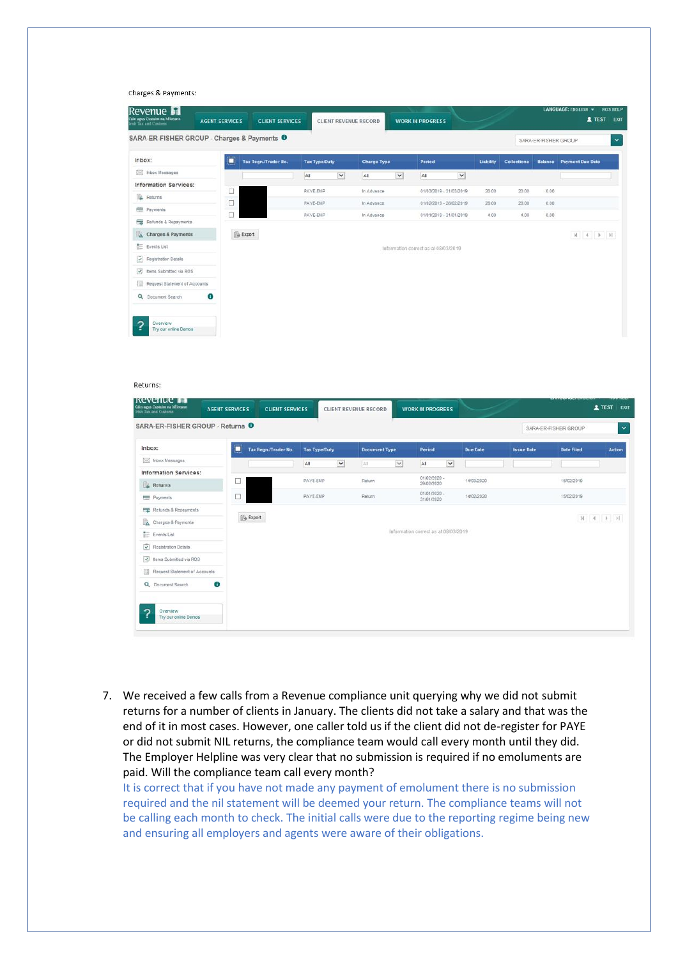#### Charges & Payments:

| Revenue <b>Fil</b><br>láin agus Custaim na hÉireann<br>rish Tax and Customs | <b>AGENT SERVICES</b> | <b>CLIENT SERVICES</b> |                      |              | CLIENT REVENUE RECORD |                 | <b>WORK IN PROGRESS</b>              |                          |           |                    |                      | LANGUAGE: ENGLISH W                                      | <b>ROSHELP</b><br><b>1 TEST EXIT</b> |
|-----------------------------------------------------------------------------|-----------------------|------------------------|----------------------|--------------|-----------------------|-----------------|--------------------------------------|--------------------------|-----------|--------------------|----------------------|----------------------------------------------------------|--------------------------------------|
| SARA-ER-FISHER GROUP - Charges & Payments <sup>O</sup>                      |                       |                        |                      |              |                       |                 |                                      |                          |           |                    | SARA-ER-FISHER GROUP |                                                          | $\checkmark$                         |
| Inbox:                                                                      | Ō                     | Tax Regn./Trader No.   | <b>Tax Type/Duty</b> |              | <b>Charge Type</b>    |                 | Period                               |                          | Liability | <b>Collections</b> |                      | <b>Balance</b> Payment Due Date                          |                                      |
| [56] Inbox Messages                                                         |                       |                        | AI                   | $\checkmark$ | All                   | $\vert$ $\vert$ | All                                  | $\overline{\phantom{a}}$ |           |                    |                      |                                                          |                                      |
| <b>Information Services:</b>                                                |                       |                        |                      |              | In Advance            |                 |                                      |                          |           |                    |                      |                                                          |                                      |
| Returns                                                                     | u                     |                        | PAYE-EMP             |              |                       |                 | 01/03/2019 - 31/03/2019              |                          | 20.00     | 20.00              | 0.00                 |                                                          |                                      |
| Payments                                                                    | о<br>□                |                        | PAYE-EMP<br>PAYE-EMP |              | In Advance            |                 | 01/02/2019 - 28/02/2019              |                          | 28.00     | 28.00              | 0.00                 |                                                          |                                      |
| Refunds & Repayments                                                        |                       |                        |                      |              | In Advance            |                 | 01/01/2019 - 31/01/2019              |                          | 4.00      | 4.00               | 0.00                 |                                                          |                                      |
| A Charges & Payments                                                        |                       | <b>Export</b>          |                      |              |                       |                 |                                      |                          |           |                    |                      | $\mathbb{H} \quad \in \quad \mathbb{F} \quad \mathbb{H}$ |                                      |
| $E =$ Events List                                                           |                       |                        |                      |              |                       |                 | Information correct as at 08/03/2019 |                          |           |                    |                      |                                                          |                                      |
| $\overline{\checkmark}$<br>Registration Details                             |                       |                        |                      |              |                       |                 |                                      |                          |           |                    |                      |                                                          |                                      |
| $\overline{\mathscr{S}}_r$<br>Items Submitted via ROS                       |                       |                        |                      |              |                       |                 |                                      |                          |           |                    |                      |                                                          |                                      |
| Request Statement of Accounts<br>H.                                         |                       |                        |                      |              |                       |                 |                                      |                          |           |                    |                      |                                                          |                                      |
| $\alpha$<br>Document Search                                                 | Ф                     |                        |                      |              |                       |                 |                                      |                          |           |                    |                      |                                                          |                                      |
| ?<br>Overview<br>Try our online Demos                                       |                       |                        |                      |              |                       |                 |                                      |                          |           |                    |                      |                                                          |                                      |

#### Returns:

| <b>Revenue Fig.</b><br>Cáin agus Custaim na hÉireann<br>Irish Tax and Custams | <b>AGENT SERVICES</b> | <b>CLIENT SERVICES</b> |                      |            | CLIENT REVENUE RECORD |        | <b>WORK IN PROGRESS</b>              |              | سن المستوفي |                   |                      | <b>2</b> TEST<br>EXIT                                  |
|-------------------------------------------------------------------------------|-----------------------|------------------------|----------------------|------------|-----------------------|--------|--------------------------------------|--------------|-------------|-------------------|----------------------|--------------------------------------------------------|
| SARA-ER-FISHER GROUP - Returns <sup>0</sup>                                   |                       |                        |                      |            |                       |        |                                      |              |             |                   | SARA-ER-FISHER GROUP | $\checkmark$                                           |
| Inbox:                                                                        | ◻                     | Tax Regn./Trader No.   | <b>Tax Type/Duty</b> |            | <b>Document Type</b>  |        | Period                               |              | Due Date    | <b>Issue Date</b> | <b>Date Filed</b>    | <b>Action</b>                                          |
| Inbox Messages                                                                |                       |                        | All                  | $\check{}$ | Al                    | $\vee$ | All                                  | $\checkmark$ |             |                   |                      |                                                        |
| <b>Information Services:</b>                                                  |                       |                        |                      |            |                       |        | 01/02/2020 -                         |              |             |                   |                      |                                                        |
| Returns                                                                       | □                     |                        | PAYE-EMP             |            | Return                |        | 29/02/2020                           |              | 14/03/2020  |                   | 15/02/2019           |                                                        |
| Payments                                                                      | $\Box$                |                        | PAYE-EMP             |            | Return                |        | 01/01/2020 -<br>31/01/2020           |              | 14/02/2020  |                   | 15/02/2019           |                                                        |
| Refunds & Repayments                                                          |                       |                        |                      |            |                       |        |                                      |              |             |                   |                      |                                                        |
| B.<br>Charges & Payments                                                      |                       | <b>Export</b>          |                      |            |                       |        |                                      |              |             |                   |                      | $\mathbb{N} \quad 4 \quad \mathbb{P} \quad \mathbb{N}$ |
| <b>ED</b> Events List                                                         |                       |                        |                      |            |                       |        | Information correct as at 08/03/2019 |              |             |                   |                      |                                                        |
| V<br>Registration Details                                                     |                       |                        |                      |            |                       |        |                                      |              |             |                   |                      |                                                        |
| $\overline{\mathscr{L}}_r$<br>Items Submitted via ROS                         |                       |                        |                      |            |                       |        |                                      |              |             |                   |                      |                                                        |
| 围<br>Request Statement of Accounts                                            |                       |                        |                      |            |                       |        |                                      |              |             |                   |                      |                                                        |
| Q Document Search                                                             | 6                     |                        |                      |            |                       |        |                                      |              |             |                   |                      |                                                        |
| ?<br>Overview                                                                 |                       |                        |                      |            |                       |        |                                      |              |             |                   |                      |                                                        |
| Try our online Demos                                                          |                       |                        |                      |            |                       |        |                                      |              |             |                   |                      |                                                        |

7. We received a few calls from a Revenue compliance unit querying why we did not submit returns for a number of clients in January. The clients did not take a salary and that was the end of it in most cases. However, one caller told us if the client did not de-register for PAYE or did not submit NIL returns, the compliance team would call every month until they did. The Employer Helpline was very clear that no submission is required if no emoluments are paid. Will the compliance team call every month?

It is correct that if you have not made any payment of emolument there is no submission required and the nil statement will be deemed your return. The compliance teams will not be calling each month to check. The initial calls were due to the reporting regime being new and ensuring all employers and agents were aware of their obligations.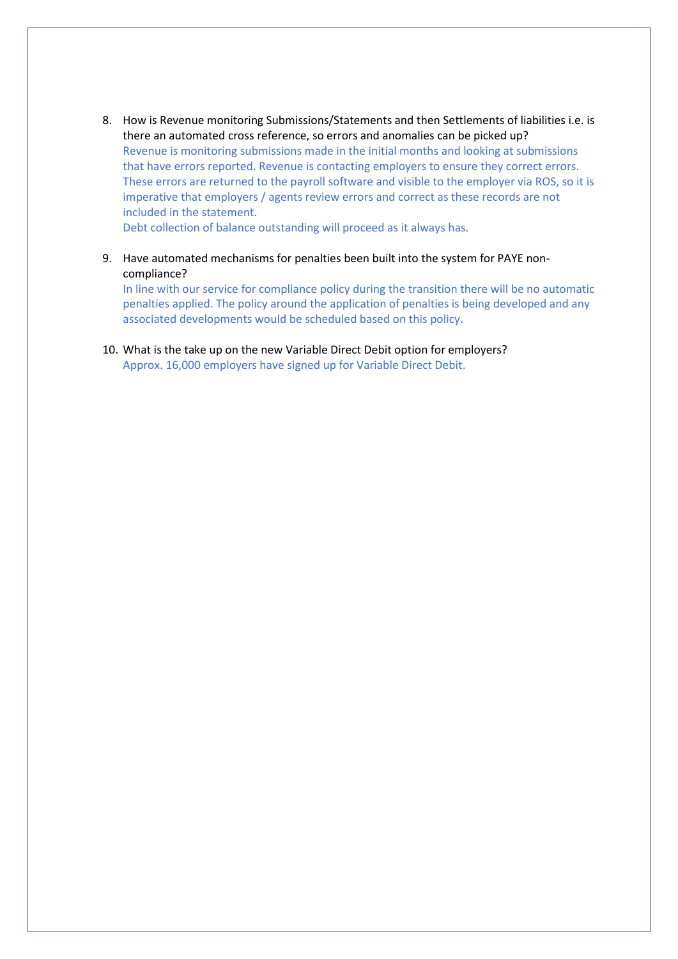8. How is Revenue monitoring Submissions/Statements and then Settlements of liabilities i.e. is there an automated cross reference, so errors and anomalies can be picked up? Revenue is monitoring submissions made in the initial months and looking at submissions that have errors reported. Revenue is contacting employers to ensure they correct errors. These errors are returned to the payroll software and visible to the employer via ROS, so it is imperative that employers / agents review errors and correct as these records are not included in the statement.

Debt collection of balance outstanding will proceed as it always has.

9. Have automated mechanisms for penalties been built into the system for PAYE noncompliance?

In line with our service for compliance policy during the transition there will be no automatic penalties applied. The policy around the application of penalties is being developed and any associated developments would be scheduled based on this policy.

10. What is the take up on the new Variable Direct Debit option for employers? Approx. 16,000 employers have signed up for Variable Direct Debit.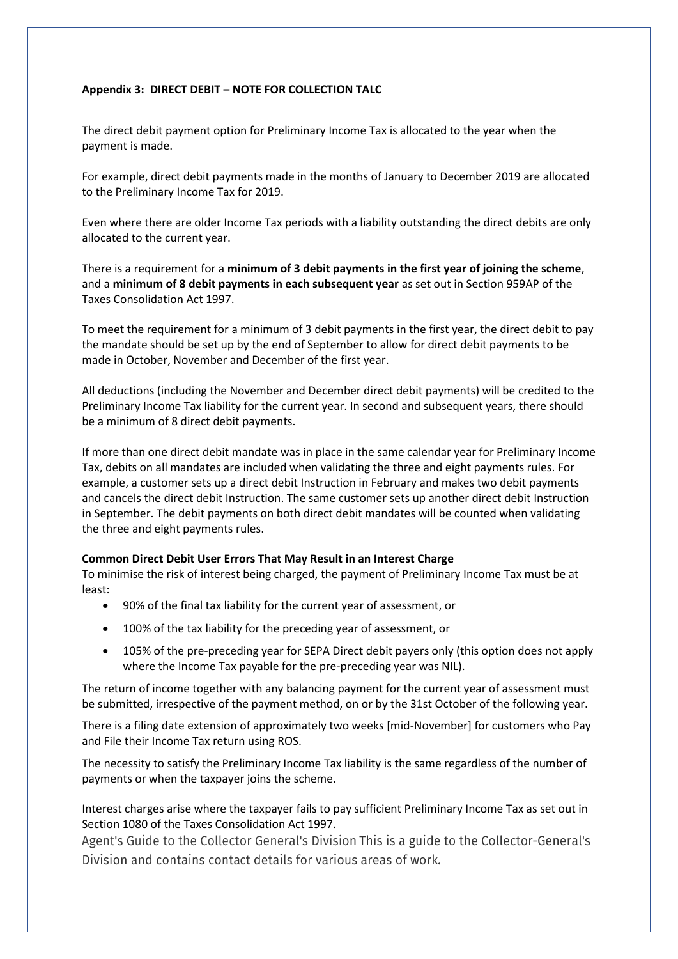# **Appendix 3: DIRECT DEBIT – NOTE FOR COLLECTION TALC**

The direct debit payment option for Preliminary Income Tax is allocated to the year when the payment is made.

For example, direct debit payments made in the months of January to December 2019 are allocated to the Preliminary Income Tax for 2019.

Even where there are older Income Tax periods with a liability outstanding the direct debits are only allocated to the current year.

There is a requirement for a **minimum of 3 debit payments in the first year of joining the scheme**, and a **minimum of 8 debit payments in each subsequent year** as set out in Section 959AP of the Taxes Consolidation Act 1997.

To meet the requirement for a minimum of 3 debit payments in the first year, the direct debit to pay the mandate should be set up by the end of September to allow for direct debit payments to be made in October, November and December of the first year.

All deductions (including the November and December direct debit payments) will be credited to the Preliminary Income Tax liability for the current year. In second and subsequent years, there should be a minimum of 8 direct debit payments.

If more than one direct debit mandate was in place in the same calendar year for Preliminary Income Tax, debits on all mandates are included when validating the three and eight payments rules. For example, a customer sets up a direct debit Instruction in February and makes two debit payments and cancels the direct debit Instruction. The same customer sets up another direct debit Instruction in September. The debit payments on both direct debit mandates will be counted when validating the three and eight payments rules.

### **Common Direct Debit User Errors That May Result in an Interest Charge**

To minimise the risk of interest being charged, the payment of Preliminary Income Tax must be at least:

- 90% of the final tax liability for the current year of assessment, or
- 100% of the tax liability for the preceding year of assessment, or
- 105% of the pre-preceding year for SEPA Direct debit payers only (this option does not apply where the Income Tax payable for the pre-preceding year was NIL).

The return of income together with any balancing payment for the current year of assessment must be submitted, irrespective of the payment method, on or by the 31st October of the following year.

There is a filing date extension of approximately two weeks [mid-November] for customers who Pay and File their Income Tax return using ROS.

The necessity to satisfy the Preliminary Income Tax liability is the same regardless of the number of payments or when the taxpayer joins the scheme.

# Interest charges arise where the taxpayer fails to pay sufficient Preliminary Income Tax as set out in [Section 1080 of the Taxes Consolidation Act 1997.](https://www.revenue.ie/en/tax-professionals/tdm/collection/agents-guide/agents-guide-to-collector-general.pdf)

Agent's Guide to the Collector General's Division This is a guide to the Collector-General's Division and contains contact details for various areas of work.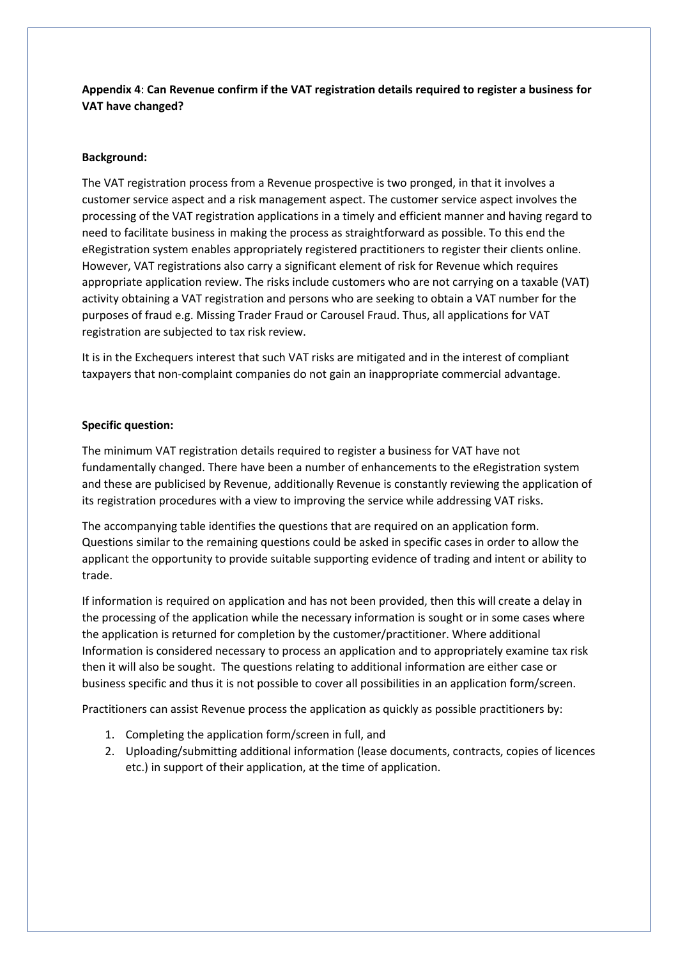# **Appendix 4**: **Can Revenue confirm if the VAT registration details required to register a business for VAT have changed?**

# **Background:**

The VAT registration process from a Revenue prospective is two pronged, in that it involves a customer service aspect and a risk management aspect. The customer service aspect involves the processing of the VAT registration applications in a timely and efficient manner and having regard to need to facilitate business in making the process as straightforward as possible. To this end the eRegistration system enables appropriately registered practitioners to register their clients online. However, VAT registrations also carry a significant element of risk for Revenue which requires appropriate application review. The risks include customers who are not carrying on a taxable (VAT) activity obtaining a VAT registration and persons who are seeking to obtain a VAT number for the purposes of fraud e.g. Missing Trader Fraud or Carousel Fraud. Thus, all applications for VAT registration are subjected to tax risk review.

It is in the Exchequers interest that such VAT risks are mitigated and in the interest of compliant taxpayers that non-complaint companies do not gain an inappropriate commercial advantage.

### **Specific question:**

The minimum VAT registration details required to register a business for VAT have not fundamentally changed. There have been a number of enhancements to the eRegistration system and these are publicised by Revenue, additionally Revenue is constantly reviewing the application of its registration procedures with a view to improving the service while addressing VAT risks.

The accompanying table identifies the questions that are required on an application form. Questions similar to the remaining questions could be asked in specific cases in order to allow the applicant the opportunity to provide suitable supporting evidence of trading and intent or ability to trade.

If information is required on application and has not been provided, then this will create a delay in the processing of the application while the necessary information is sought or in some cases where the application is returned for completion by the customer/practitioner. Where additional Information is considered necessary to process an application and to appropriately examine tax risk then it will also be sought. The questions relating to additional information are either case or business specific and thus it is not possible to cover all possibilities in an application form/screen.

Practitioners can assist Revenue process the application as quickly as possible practitioners by:

- 1. Completing the application form/screen in full, and
- 2. Uploading/submitting additional information (lease documents, contracts, copies of licences etc.) in support of their application, at the time of application.